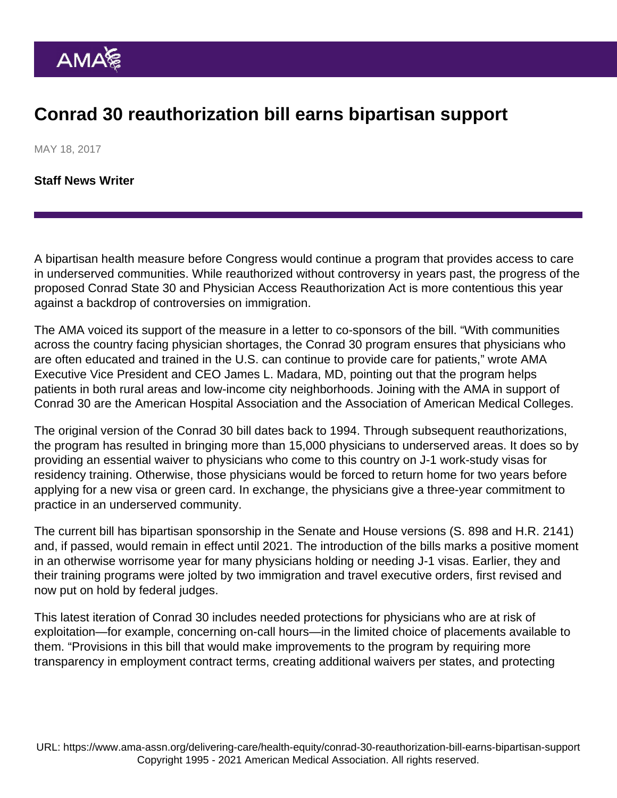## Conrad 30 reauthorization bill earns bipartisan support

MAY 18, 2017

[Staff News Writer](https://www.ama-assn.org/news-leadership-viewpoints/authors-news-leadership-viewpoints/staff-news-writer)

A bipartisan health measure before Congress would continue a program that provides access to care in underserved communities. While reauthorized without controversy in years past, the progress of the proposed Conrad State 30 and Physician Access Reauthorization Act is more contentious this year against a backdrop of controversies on immigration.

The AMA voiced its support of the measure in a [letter](https://searchlf.ama-assn.org/letter/documentDownload?uri=/unstructured/binary/letter/LETTERS/2017-4-26-Sen-Klobuchar-Conrad-30-Program.pdf) to co-sponsors of the bill. "With communities across the country facing physician shortages, the Conrad 30 program ensures that physicians who are often educated and trained in the U.S. can continue to provide care for patients," wrote AMA Executive Vice President and CEO James L. Madara, MD, pointing out that the program helps patients in both rural areas and low-income city neighborhoods. Joining with the AMA in support of Conrad 30 are the American Hospital Association and the Association of American Medical Colleges.

The original version of the Conrad 30 bill dates back to 1994. Through subsequent reauthorizations, the program has resulted in bringing more than 15,000 physicians to underserved areas. It does so by providing an essential waiver to physicians who come to this country on J-1 work-study visas for residency training. Otherwise, those physicians would be forced to return home for two years before applying for a new visa or green card. In exchange, the physicians give a three-year commitment to practice in an underserved community.

The current bill has bipartisan sponsorship in the Senate and House versions [\(S. 898](https://www.congress.gov/bill/115th-congress/senate-bill/898) and [H.R. 2141\)](https://www.congress.gov/bill/115th-congress/house-bill/2141) and, if passed, would remain in effect until 2021. The introduction of the bills marks a positive moment in an otherwise worrisome year for many physicians holding or needing J-1 visas. Earlier, they and their training programs were jolted by two immigration and travel executive orders, first revised and now put on hold by federal judges.

This latest iteration of Conrad 30 includes needed protections for physicians who are at risk of exploitation—for example, concerning on-call hours—in the limited choice of placements available to them. "Provisions in this bill that would make improvements to the program by requiring more transparency in employment contract terms, creating additional waivers per states, and protecting